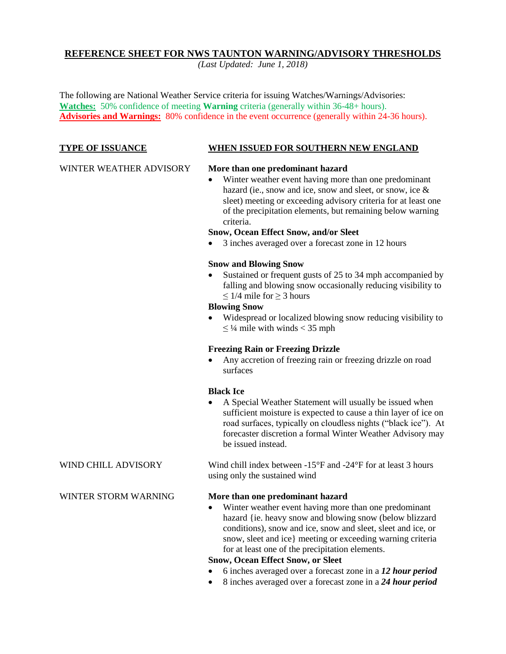# **REFERENCE SHEET FOR NWS TAUNTON WARNING/ADVISORY THRESHOLDS**

*(Last Updated: June 1, 2018)*

The following are National Weather Service criteria for issuing Watches/Warnings/Advisories: **Watches:** 50% confidence of meeting **Warning** criteria (generally within 36-48+ hours). **Advisories and Warnings:** 80% confidence in the event occurrence (generally within 24-36 hours).

## **TYPE OF ISSUANCE WHEN ISSUED FOR SOUTHERN NEW ENGLAND**

# WINTER WEATHER ADVISORY **More than one predominant hazard**

 Winter weather event having more than one predominant hazard (ie., snow and ice, snow and sleet, or snow, ice & sleet) meeting or exceeding advisory criteria for at least one of the precipitation elements, but remaining below warning criteria.

# **Snow, Ocean Effect Snow, and/or Sleet**

3 inches averaged over a forecast zone in 12 hours

#### **Snow and Blowing Snow**

• Sustained or frequent gusts of 25 to 34 mph accompanied by falling and blowing snow occasionally reducing visibility to  $\leq$  1/4 mile for  $\geq$  3 hours

# **Blowing Snow**

 Widespread or localized blowing snow reducing visibility to  $\leq$  1/4 mile with winds < 35 mph

# **Freezing Rain or Freezing Drizzle**

 Any accretion of freezing rain or freezing drizzle on road surfaces

# **Black Ice**

 A Special Weather Statement will usually be issued when sufficient moisture is expected to cause a thin layer of ice on road surfaces, typically on cloudless nights ("black ice"). At forecaster discretion a formal Winter Weather Advisory may be issued instead.

WIND CHILL ADVISORY Wind chill index between -15°F and -24°F for at least 3 hours using only the sustained wind

# WINTER STORM WARNING **More than one predominant hazard**

 Winter weather event having more than one predominant hazard {ie. heavy snow and blowing snow (below blizzard conditions), snow and ice, snow and sleet, sleet and ice, or snow, sleet and ice} meeting or exceeding warning criteria for at least one of the precipitation elements.

# **Snow, Ocean Effect Snow, or Sleet**

- 6 inches averaged over a forecast zone in a *12 hour period*
- 8 inches averaged over a forecast zone in a *24 hour period*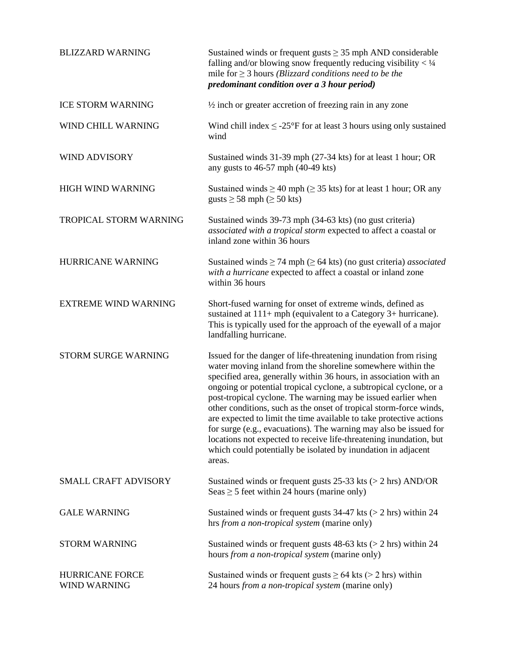| <b>BLIZZARD WARNING</b>                | Sustained winds or frequent gusts $\geq$ 35 mph AND considerable<br>falling and/or blowing snow frequently reducing visibility $<$ 1/4<br>mile for $\geq$ 3 hours ( <i>Blizzard conditions need to be the</i><br>predominant condition over a 3 hour period)                                                                                                                                                                                                                                                                                                                                                                                                                                                   |
|----------------------------------------|----------------------------------------------------------------------------------------------------------------------------------------------------------------------------------------------------------------------------------------------------------------------------------------------------------------------------------------------------------------------------------------------------------------------------------------------------------------------------------------------------------------------------------------------------------------------------------------------------------------------------------------------------------------------------------------------------------------|
| <b>ICE STORM WARNING</b>               | $\frac{1}{2}$ inch or greater accretion of freezing rain in any zone                                                                                                                                                                                                                                                                                                                                                                                                                                                                                                                                                                                                                                           |
| WIND CHILL WARNING                     | Wind chill index $\leq$ -25°F for at least 3 hours using only sustained<br>wind                                                                                                                                                                                                                                                                                                                                                                                                                                                                                                                                                                                                                                |
| <b>WIND ADVISORY</b>                   | Sustained winds 31-39 mph (27-34 kts) for at least 1 hour; OR<br>any gusts to $46-57$ mph $(40-49$ kts)                                                                                                                                                                                                                                                                                                                                                                                                                                                                                                                                                                                                        |
| <b>HIGH WIND WARNING</b>               | Sustained winds $\geq$ 40 mph ( $\geq$ 35 kts) for at least 1 hour; OR any<br>gusts $\geq$ 58 mph ( $\geq$ 50 kts)                                                                                                                                                                                                                                                                                                                                                                                                                                                                                                                                                                                             |
| TROPICAL STORM WARNING                 | Sustained winds 39-73 mph (34-63 kts) (no gust criteria)<br>associated with a tropical storm expected to affect a coastal or<br>inland zone within 36 hours                                                                                                                                                                                                                                                                                                                                                                                                                                                                                                                                                    |
| <b>HURRICANE WARNING</b>               | Sustained winds $\geq$ 74 mph ( $\geq$ 64 kts) (no gust criteria) <i>associated</i><br>with a hurricane expected to affect a coastal or inland zone<br>within 36 hours                                                                                                                                                                                                                                                                                                                                                                                                                                                                                                                                         |
| <b>EXTREME WIND WARNING</b>            | Short-fused warning for onset of extreme winds, defined as<br>sustained at $111+$ mph (equivalent to a Category 3+ hurricane).<br>This is typically used for the approach of the eyewall of a major<br>landfalling hurricane.                                                                                                                                                                                                                                                                                                                                                                                                                                                                                  |
| STORM SURGE WARNING                    | Issued for the danger of life-threatening inundation from rising<br>water moving inland from the shoreline somewhere within the<br>specified area, generally within 36 hours, in association with an<br>ongoing or potential tropical cyclone, a subtropical cyclone, or a<br>post-tropical cyclone. The warning may be issued earlier when<br>other conditions, such as the onset of tropical storm-force winds,<br>are expected to limit the time available to take protective actions<br>for surge (e.g., evacuations). The warning may also be issued for<br>locations not expected to receive life-threatening inundation, but<br>which could potentially be isolated by inundation in adjacent<br>areas. |
| <b>SMALL CRAFT ADVISORY</b>            | Sustained winds or frequent gusts $25-33$ kts ( $> 2$ hrs) AND/OR<br>Seas $\geq$ 5 feet within 24 hours (marine only)                                                                                                                                                                                                                                                                                                                                                                                                                                                                                                                                                                                          |
| <b>GALE WARNING</b>                    | Sustained winds or frequent gusts $34-47$ kts ( $> 2$ hrs) within 24<br>hrs from a non-tropical system (marine only)                                                                                                                                                                                                                                                                                                                                                                                                                                                                                                                                                                                           |
| <b>STORM WARNING</b>                   | Sustained winds or frequent gusts $48-63$ kts ( $> 2$ hrs) within 24<br>hours from a non-tropical system (marine only)                                                                                                                                                                                                                                                                                                                                                                                                                                                                                                                                                                                         |
| <b>HURRICANE FORCE</b><br>WIND WARNING | Sustained winds or frequent gusts $\geq 64$ kts ( $> 2$ hrs) within<br>24 hours from a non-tropical system (marine only)                                                                                                                                                                                                                                                                                                                                                                                                                                                                                                                                                                                       |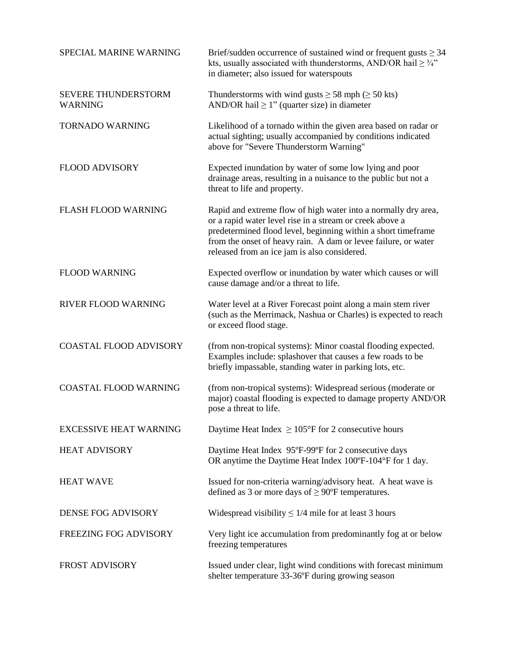| SPECIAL MARINE WARNING                | Brief/sudden occurrence of sustained wind or frequent gusts $\geq$ 34<br>kts, usually associated with thunderstorms, AND/OR hail $\geq \frac{3}{4}$ "<br>in diameter; also issued for waterspouts                                                                                                             |
|---------------------------------------|---------------------------------------------------------------------------------------------------------------------------------------------------------------------------------------------------------------------------------------------------------------------------------------------------------------|
| SEVERE THUNDERSTORM<br><b>WARNING</b> | Thunderstorms with wind gusts $\geq$ 58 mph ( $\geq$ 50 kts)<br>AND/OR hail $\geq 1$ " (quarter size) in diameter                                                                                                                                                                                             |
| <b>TORNADO WARNING</b>                | Likelihood of a tornado within the given area based on radar or<br>actual sighting; usually accompanied by conditions indicated<br>above for "Severe Thunderstorm Warning"                                                                                                                                    |
| <b>FLOOD ADVISORY</b>                 | Expected inundation by water of some low lying and poor<br>drainage areas, resulting in a nuisance to the public but not a<br>threat to life and property.                                                                                                                                                    |
| <b>FLASH FLOOD WARNING</b>            | Rapid and extreme flow of high water into a normally dry area,<br>or a rapid water level rise in a stream or creek above a<br>predetermined flood level, beginning within a short timeframe<br>from the onset of heavy rain. A dam or levee failure, or water<br>released from an ice jam is also considered. |
| <b>FLOOD WARNING</b>                  | Expected overflow or inundation by water which causes or will<br>cause damage and/or a threat to life.                                                                                                                                                                                                        |
| RIVER FLOOD WARNING                   | Water level at a River Forecast point along a main stem river<br>(such as the Merrimack, Nashua or Charles) is expected to reach<br>or exceed flood stage.                                                                                                                                                    |
| <b>COASTAL FLOOD ADVISORY</b>         | (from non-tropical systems): Minor coastal flooding expected.<br>Examples include: splashover that causes a few roads to be<br>briefly impassable, standing water in parking lots, etc.                                                                                                                       |
| <b>COASTAL FLOOD WARNING</b>          | (from non-tropical systems): Widespread serious (moderate or<br>major) coastal flooding is expected to damage property AND/OR<br>pose a threat to life.                                                                                                                                                       |
| <b>EXCESSIVE HEAT WARNING</b>         | Daytime Heat Index $\geq 105^{\circ}$ F for 2 consecutive hours                                                                                                                                                                                                                                               |
| <b>HEAT ADVISORY</b>                  | Daytime Heat Index 95°F-99°F for 2 consecutive days<br>OR anytime the Daytime Heat Index 100°F-104°F for 1 day.                                                                                                                                                                                               |
| <b>HEAT WAVE</b>                      | Issued for non-criteria warning/advisory heat. A heat wave is<br>defined as 3 or more days of $\geq$ 90°F temperatures.                                                                                                                                                                                       |
| <b>DENSE FOG ADVISORY</b>             | Widespread visibility $\leq 1/4$ mile for at least 3 hours                                                                                                                                                                                                                                                    |
| FREEZING FOG ADVISORY                 | Very light ice accumulation from predominantly fog at or below<br>freezing temperatures                                                                                                                                                                                                                       |
| <b>FROST ADVISORY</b>                 | Issued under clear, light wind conditions with forecast minimum<br>shelter temperature 33-36°F during growing season                                                                                                                                                                                          |